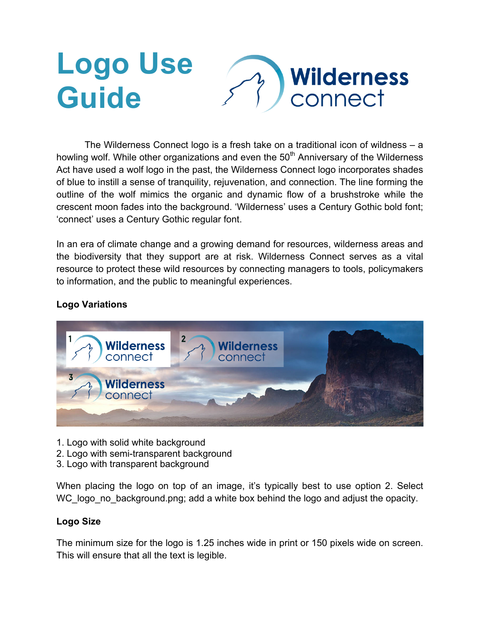# **Logo Use Wilderness Guide** connect

The Wilderness Connect logo is a fresh take on a traditional icon of wildness – a howling wolf. While other organizations and even the 50<sup>th</sup> Anniversary of the Wilderness Act have used a wolf logo in the past, the Wilderness Connect logo incorporates shades of blue to instill a sense of tranquility, rejuvenation, and connection. The line forming the outline of the wolf mimics the organic and dynamic flow of a brushstroke while the crescent moon fades into the background. 'Wilderness' uses a Century Gothic bold font; 'connect' uses a Century Gothic regular font.

In an era of climate change and a growing demand for resources, wilderness areas and the biodiversity that they support are at risk. Wilderness Connect serves as a vital resource to protect these wild resources by connecting managers to tools, policymakers to information, and the public to meaningful experiences.

# **Logo Variations**



- 1. Logo with solid white background
- 2. Logo with semi-transparent background
- 3. Logo with transparent background

When placing the logo on top of an image, it's typically best to use option 2. Select WC logo no background.png; add a white box behind the logo and adjust the opacity.

# **Logo Size**

The minimum size for the logo is 1.25 inches wide in print or 150 pixels wide on screen. This will ensure that all the text is legible.